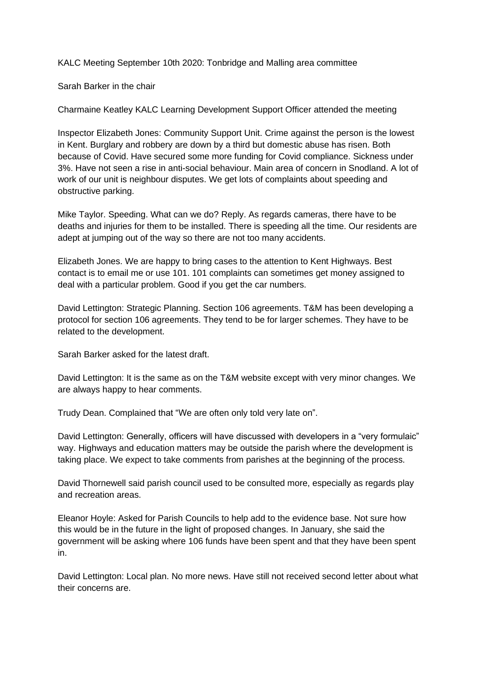KALC Meeting September 10th 2020: Tonbridge and Malling area committee

Sarah Barker in the chair

Charmaine Keatley KALC Learning Development Support Officer attended the meeting

Inspector Elizabeth Jones: Community Support Unit. Crime against the person is the lowest in Kent. Burglary and robbery are down by a third but domestic abuse has risen. Both because of Covid. Have secured some more funding for Covid compliance. Sickness under 3%. Have not seen a rise in anti-social behaviour. Main area of concern in Snodland. A lot of work of our unit is neighbour disputes. We get lots of complaints about speeding and obstructive parking.

Mike Taylor. Speeding. What can we do? Reply. As regards cameras, there have to be deaths and injuries for them to be installed. There is speeding all the time. Our residents are adept at jumping out of the way so there are not too many accidents.

Elizabeth Jones. We are happy to bring cases to the attention to Kent Highways. Best contact is to email me or use 101. 101 complaints can sometimes get money assigned to deal with a particular problem. Good if you get the car numbers.

David Lettington: Strategic Planning. Section 106 agreements. T&M has been developing a protocol for section 106 agreements. They tend to be for larger schemes. They have to be related to the development.

Sarah Barker asked for the latest draft.

David Lettington: It is the same as on the T&M website except with very minor changes. We are always happy to hear comments.

Trudy Dean. Complained that "We are often only told very late on".

David Lettington: Generally, officers will have discussed with developers in a "very formulaic" way. Highways and education matters may be outside the parish where the development is taking place. We expect to take comments from parishes at the beginning of the process.

David Thornewell said parish council used to be consulted more, especially as regards play and recreation areas.

Eleanor Hoyle: Asked for Parish Councils to help add to the evidence base. Not sure how this would be in the future in the light of proposed changes. In January, she said the government will be asking where 106 funds have been spent and that they have been spent in.

David Lettington: Local plan. No more news. Have still not received second letter about what their concerns are.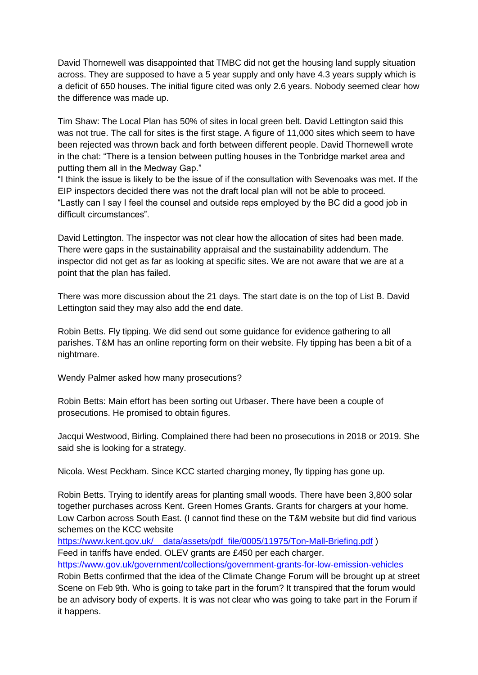David Thornewell was disappointed that TMBC did not get the housing land supply situation across. They are supposed to have a 5 year supply and only have 4.3 years supply which is a deficit of 650 houses. The initial figure cited was only 2.6 years. Nobody seemed clear how the difference was made up.

Tim Shaw: The Local Plan has 50% of sites in local green belt. David Lettington said this was not true. The call for sites is the first stage. A figure of 11,000 sites which seem to have been rejected was thrown back and forth between different people. David Thornewell wrote in the chat: "There is a tension between putting houses in the Tonbridge market area and putting them all in the Medway Gap."

"I think the issue is likely to be the issue of if the consultation with Sevenoaks was met. If the EIP inspectors decided there was not the draft local plan will not be able to proceed. "Lastly can I say I feel the counsel and outside reps employed by the BC did a good job in difficult circumstances".

David Lettington. The inspector was not clear how the allocation of sites had been made. There were gaps in the sustainability appraisal and the sustainability addendum. The inspector did not get as far as looking at specific sites. We are not aware that we are at a point that the plan has failed.

There was more discussion about the 21 days. The start date is on the top of List B. David Lettington said they may also add the end date.

Robin Betts. Fly tipping. We did send out some guidance for evidence gathering to all parishes. T&M has an online reporting form on their website. Fly tipping has been a bit of a nightmare.

Wendy Palmer asked how many prosecutions?

Robin Betts: Main effort has been sorting out Urbaser. There have been a couple of prosecutions. He promised to obtain figures.

Jacqui Westwood, Birling. Complained there had been no prosecutions in 2018 or 2019. She said she is looking for a strategy.

Nicola. West Peckham. Since KCC started charging money, fly tipping has gone up.

Robin Betts. Trying to identify areas for planting small woods. There have been 3,800 solar together purchases across Kent. Green Homes Grants. Grants for chargers at your home. Low Carbon across South East. (I cannot find these on the T&M website but did find various schemes on the KCC website

https://www.kent.gov.uk/ data/assets/pdf\_file/0005/11975/Ton-Mall-Briefing.pdf ) Feed in tariffs have ended. OLEV grants are £450 per each charger.

<https://www.gov.uk/government/collections/government-grants-for-low-emission-vehicles>

Robin Betts confirmed that the idea of the Climate Change Forum will be brought up at street Scene on Feb 9th. Who is going to take part in the forum? It transpired that the forum would be an advisory body of experts. It is was not clear who was going to take part in the Forum if it happens.